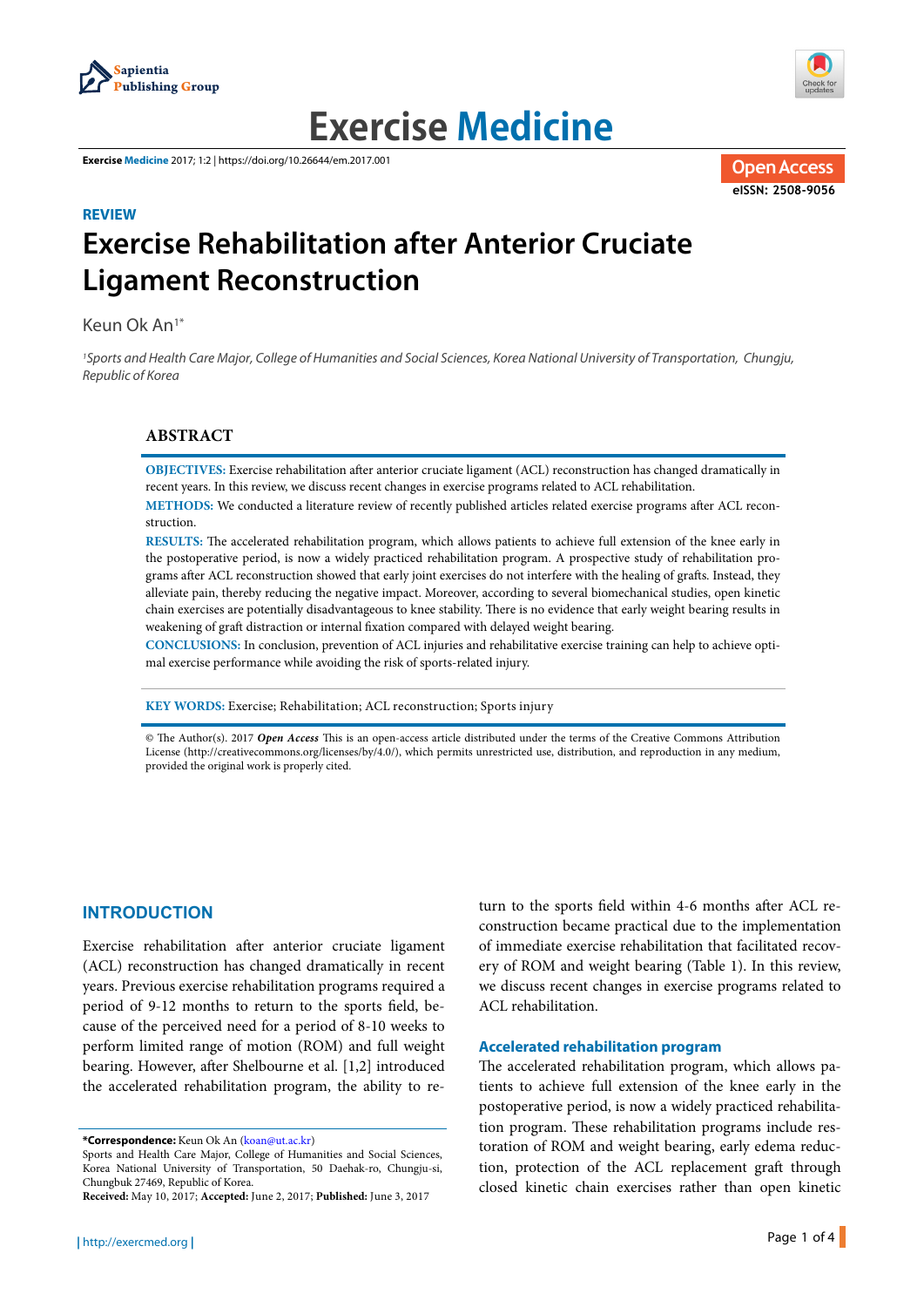



# **Exercise Medicine**

**Exercise Medicine** 2017; 1:2 | https://doi.org/10.26644/em.2017.001



## **REVIEW Exercise Rehabilitation after Anterior Cruciate Ligament Reconstruction**

Keun Ok An1\*

1Sports and Health Care Major, College of Humanities and Social Sciences, Korea National University of Transportation, Chungju, Republic of Korea

## **ABSTRACT**

**OBJECTIVES:** Exercise rehabilitation after anterior cruciate ligament (ACL) reconstruction has changed dramatically in recent years. In this review, we discuss recent changes in exercise programs related to ACL rehabilitation.

**METHODS:** We conducted a literature review of recently published articles related exercise programs after ACL reconstruction.

**RESULTS:** The accelerated rehabilitation program, which allows patients to achieve full extension of the knee early in the postoperative period, is now a widely practiced rehabilitation program. A prospective study of rehabilitation programs after ACL reconstruction showed that early joint exercises do not interfere with the healing of grafts. Instead, they alleviate pain, thereby reducing the negative impact. Moreover, according to several biomechanical studies, open kinetic chain exercises are potentially disadvantageous to knee stability. There is no evidence that early weight bearing results in weakening of graft distraction or internal fixation compared with delayed weight bearing.

**CONCLUSIONS:** In conclusion, prevention of ACL injuries and rehabilitative exercise training can help to achieve optimal exercise performance while avoiding the risk of sports-related injury.

**KEY WORDS:** Exercise; Rehabilitation; ACL reconstruction; Sports injury

© The Author(s). 2017 *Open Access* This is an open-access article distributed under the terms of the Creative Commons Attribution License (http://creativecommons.org/licenses/by/4.0/), which permits unrestricted use, distribution, and reproduction in any medium, provided the original work is properly cited.

### **INTRODUCTION**

Exercise rehabilitation after anterior cruciate ligament (ACL) reconstruction has changed dramatically in recent years. Previous exercise rehabilitation programs required a period of 9-12 months to return to the sports field, because of the perceived need for a period of 8-10 weeks to perform limited range of motion (ROM) and full weight bearing. However, after Shelbourne et al. [1,2] introduced the accelerated rehabilitation program, the ability to re-

**\*Correspondence:** Keun Ok An (koan@ut.ac.kr)

turn to the sports field within 4-6 months after ACL reconstruction became practical due to the implementation of immediate exercise rehabilitation that facilitated recovery of ROM and weight bearing (Table 1). In this review, we discuss recent changes in exercise programs related to ACL rehabilitation.

#### **Accelerated rehabilitation program**

The accelerated rehabilitation program, which allows patients to achieve full extension of the knee early in the postoperative period, is now a widely practiced rehabilitation program. These rehabilitation programs include restoration of ROM and weight bearing, early edema reduction, protection of the ACL replacement graft through closed kinetic chain exercises rather than open kinetic

Sports and Health Care Major, College of Humanities and Social Sciences, Korea National University of Transportation, 50 Daehak-ro, Chungju-si, Chungbuk 27469, Republic of Korea.

**Received:** May 10, 2017; **Accepted:** June 2, 2017; **Published:** June 3, 2017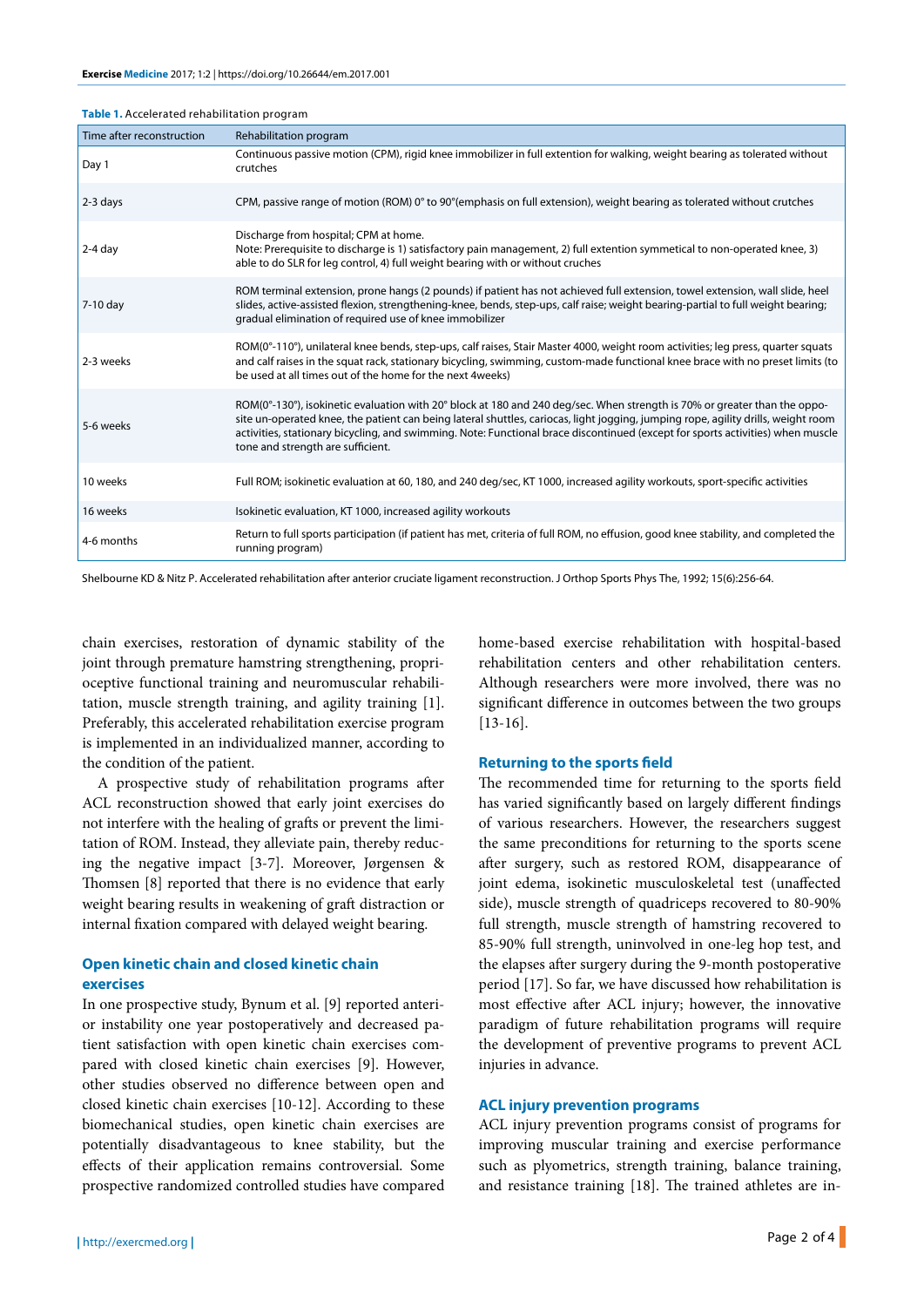| Table 1. Accelerated rehabilitation program |  |  |
|---------------------------------------------|--|--|
|---------------------------------------------|--|--|

| Time after reconstruction | Rehabilitation program                                                                                                                                                                                                                                                                                                                                                                                                                |
|---------------------------|---------------------------------------------------------------------------------------------------------------------------------------------------------------------------------------------------------------------------------------------------------------------------------------------------------------------------------------------------------------------------------------------------------------------------------------|
| Day 1                     | Continuous passive motion (CPM), rigid knee immobilizer in full extention for walking, weight bearing as tolerated without<br>crutches                                                                                                                                                                                                                                                                                                |
| $2-3$ days                | CPM, passive range of motion (ROM) 0° to 90° (emphasis on full extension), weight bearing as tolerated without crutches                                                                                                                                                                                                                                                                                                               |
| $2-4$ day                 | Discharge from hospital; CPM at home.<br>Note: Prerequisite to discharge is 1) satisfactory pain management, 2) full extention symmetical to non-operated knee, 3)<br>able to do SLR for leg control, 4) full weight bearing with or without cruches                                                                                                                                                                                  |
| 7-10 day                  | ROM terminal extension, prone hangs (2 pounds) if patient has not achieved full extension, towel extension, wall slide, heel<br>slides, active-assisted flexion, strengthening-knee, bends, step-ups, calf raise; weight bearing-partial to full weight bearing;<br>gradual elimination of required use of knee immobilizer                                                                                                           |
| 2-3 weeks                 | ROM(0°-110°), unilateral knee bends, step-ups, calf raises, Stair Master 4000, weight room activities; leg press, quarter squats<br>and calf raises in the squat rack, stationary bicycling, swimming, custom-made functional knee brace with no preset limits (to<br>be used at all times out of the home for the next 4 weeks)                                                                                                      |
| 5-6 weeks                 | ROM(0°-130°), isokinetic evaluation with 20° block at 180 and 240 deg/sec. When strength is 70% or greater than the oppo-<br>site un-operated knee, the patient can being lateral shuttles, cariocas, light jogging, jumping rope, agility drills, weight room<br>activities, stationary bicycling, and swimming. Note: Functional brace discontinued (except for sports activities) when muscle<br>tone and strength are sufficient. |
| 10 weeks                  | Full ROM; isokinetic evaluation at 60, 180, and 240 deg/sec, KT 1000, increased agility workouts, sport-specific activities                                                                                                                                                                                                                                                                                                           |
| 16 weeks                  | Isokinetic evaluation, KT 1000, increased agility workouts                                                                                                                                                                                                                                                                                                                                                                            |
| 4-6 months                | Return to full sports participation (if patient has met, criteria of full ROM, no effusion, good knee stability, and completed the<br>running program)                                                                                                                                                                                                                                                                                |

Shelbourne KD & Nitz P. Accelerated rehabilitation after anterior cruciate ligament reconstruction. J Orthop Sports Phys The, 1992; 15(6):256-64.

chain exercises, restoration of dynamic stability of the joint through premature hamstring strengthening, proprioceptive functional training and neuromuscular rehabilitation, muscle strength training, and agility training [1]. Preferably, this accelerated rehabilitation exercise program is implemented in an individualized manner, according to the condition of the patient.

A prospective study of rehabilitation programs after ACL reconstruction showed that early joint exercises do not interfere with the healing of grafts or prevent the limitation of ROM. Instead, they alleviate pain, thereby reducing the negative impact [3-7]. Moreover, Jørgensen & Thomsen [8] reported that there is no evidence that early weight bearing results in weakening of graft distraction or internal fixation compared with delayed weight bearing.

## **Open kinetic chain and closed kinetic chain exercises**

In one prospective study, Bynum et al. [9] reported anterior instability one year postoperatively and decreased patient satisfaction with open kinetic chain exercises compared with closed kinetic chain exercises [9]. However, other studies observed no difference between open and closed kinetic chain exercises [10-12]. According to these biomechanical studies, open kinetic chain exercises are potentially disadvantageous to knee stability, but the effects of their application remains controversial. Some prospective randomized controlled studies have compared home-based exercise rehabilitation with hospital-based rehabilitation centers and other rehabilitation centers. Although researchers were more involved, there was no significant difference in outcomes between the two groups [13-16].

#### **Returning to the sports field**

The recommended time for returning to the sports field has varied significantly based on largely different findings of various researchers. However, the researchers suggest the same preconditions for returning to the sports scene after surgery, such as restored ROM, disappearance of joint edema, isokinetic musculoskeletal test (unaffected side), muscle strength of quadriceps recovered to 80-90% full strength, muscle strength of hamstring recovered to 85-90% full strength, uninvolved in one-leg hop test, and the elapses after surgery during the 9-month postoperative period [17]. So far, we have discussed how rehabilitation is most effective after ACL injury; however, the innovative paradigm of future rehabilitation programs will require the development of preventive programs to prevent ACL injuries in advance.

#### **ACL injury prevention programs**

ACL injury prevention programs consist of programs for improving muscular training and exercise performance such as plyometrics, strength training, balance training, and resistance training [18]. The trained athletes are in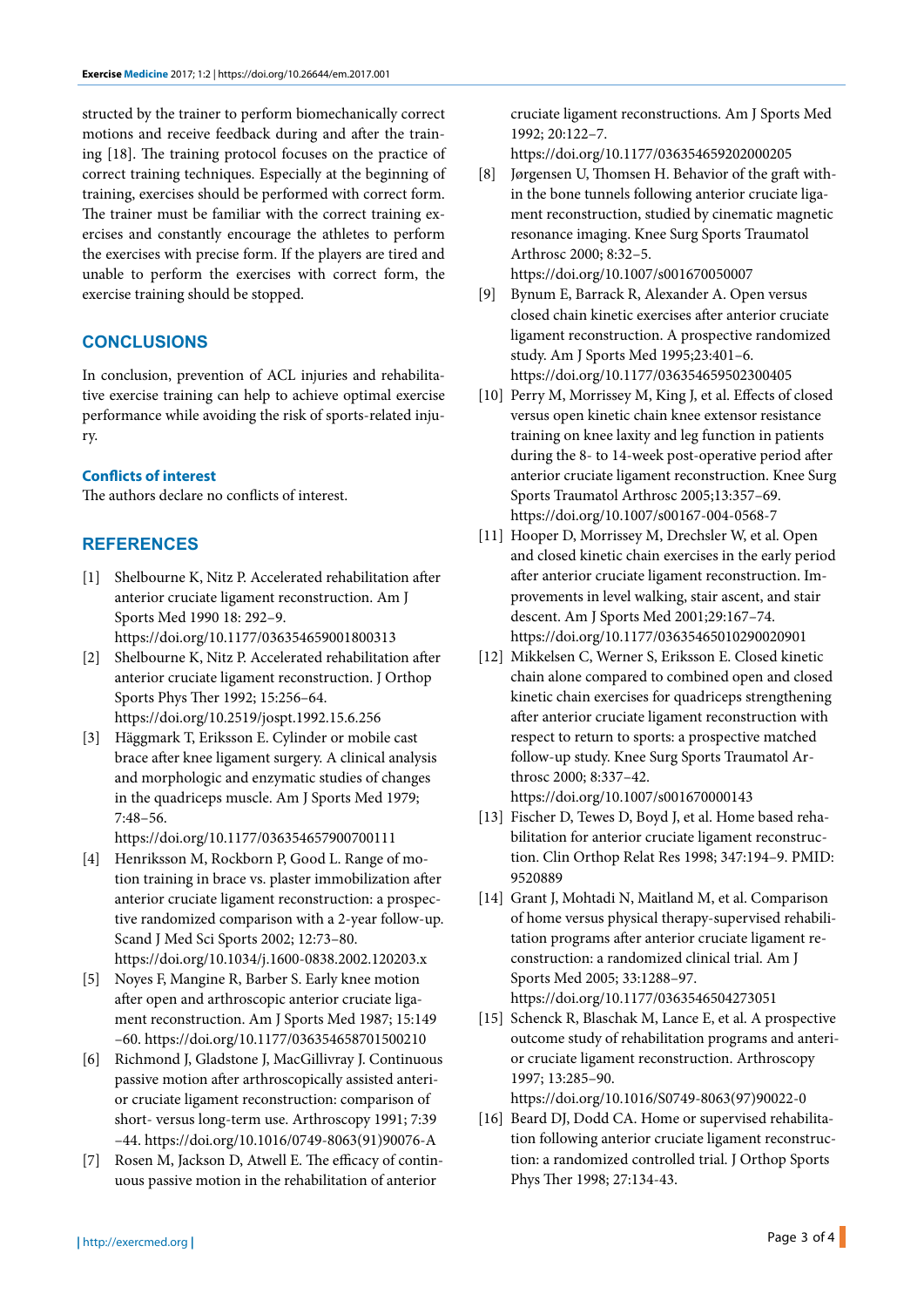structed by the trainer to perform biomechanically correct motions and receive feedback during and after the training [18]. The training protocol focuses on the practice of correct training techniques. Especially at the beginning of training, exercises should be performed with correct form. The trainer must be familiar with the correct training exercises and constantly encourage the athletes to perform the exercises with precise form. If the players are tired and unable to perform the exercises with correct form, the exercise training should be stopped.

## **CONCLUSIONS**

In conclusion, prevention of ACL injuries and rehabilitative exercise training can help to achieve optimal exercise performance while avoiding the risk of sports-related injury.

#### **Conflicts of interest**

The authors declare no conflicts of interest.

## **REFERENCES**

- [1] Shelbourne K, Nitz P. Accelerated rehabilitation after anterior cruciate ligament reconstruction. Am J Sports Med 1990 18: 292–9. https://doi.org/10.1177/036354659001800313
- [2] Shelbourne K, Nitz P. Accelerated rehabilitation after anterior cruciate ligament reconstruction. J Orthop Sports Phys Ther 1992; 15:256–64. https://doi.org/10.2519/jospt.1992.15.6.256
- [3] Häggmark T, Eriksson E. Cylinder or mobile cast brace after knee ligament surgery. A clinical analysis and morphologic and enzymatic studies of changes in the quadriceps muscle. Am J Sports Med 1979; 7:48–56.

https://doi.org/10.1177/036354657900700111

- [4] Henriksson M, Rockborn P, Good L. Range of motion training in brace vs. plaster immobilization after anterior cruciate ligament reconstruction: a prospective randomized comparison with a 2-year follow-up. Scand J Med Sci Sports 2002; 12:73–80. https://doi.org/10.1034/j.1600-0838.2002.120203.x
- [5] Noyes F, Mangine R, Barber S. Early knee motion after open and arthroscopic anterior cruciate ligament reconstruction. Am J Sports Med 1987; 15:149 –60. https://doi.org/10.1177/036354658701500210
- [6] Richmond J, Gladstone J, MacGillivray J. Continuous passive motion after arthroscopically assisted anterior cruciate ligament reconstruction: comparison of short- versus long-term use. Arthroscopy 1991; 7:39 –44. https://doi.org/10.1016/0749-8063(91)90076-A
- [7] Rosen M, Jackson D, Atwell E. The efficacy of continuous passive motion in the rehabilitation of anterior

cruciate ligament reconstructions. Am J Sports Med 1992; 20:122–7.

https://doi.org/10.1177/036354659202000205

- [8] Jørgensen U, Thomsen H. Behavior of the graft within the bone tunnels following anterior cruciate ligament reconstruction, studied by cinematic magnetic resonance imaging. Knee Surg Sports Traumatol Arthrosc 2000; 8:32–5. https://doi.org/10.1007/s001670050007
- [9] Bynum E, Barrack R, Alexander A. Open versus closed chain kinetic exercises after anterior cruciate ligament reconstruction. A prospective randomized study. Am J Sports Med 1995;23:401–6. https://doi.org/10.1177/036354659502300405
- [10] Perry M, Morrissey M, King J, et al. Effects of closed versus open kinetic chain knee extensor resistance training on knee laxity and leg function in patients during the 8- to 14-week post-operative period after anterior cruciate ligament reconstruction. Knee Surg Sports Traumatol Arthrosc 2005;13:357–69. https://doi.org/10.1007/s00167-004-0568-7
- [11] Hooper D, Morrissey M, Drechsler W, et al. Open and closed kinetic chain exercises in the early period after anterior cruciate ligament reconstruction. Improvements in level walking, stair ascent, and stair descent. Am J Sports Med 2001;29:167–74. https://doi.org/10.1177/03635465010290020901
- [12] Mikkelsen C, Werner S, Eriksson E. Closed kinetic chain alone compared to combined open and closed kinetic chain exercises for quadriceps strengthening after anterior cruciate ligament reconstruction with respect to return to sports: a prospective matched follow-up study. Knee Surg Sports Traumatol Arthrosc 2000; 8:337–42. https://doi.org/10.1007/s001670000143
- [13] Fischer D, Tewes D, Boyd J, et al. Home based rehabilitation for anterior cruciate ligament reconstruction. Clin Orthop Relat Res 1998; 347:194–9. PMID: 9520889
- [14] Grant J, Mohtadi N, Maitland M, et al. Comparison of home versus physical therapy-supervised rehabilitation programs after anterior cruciate ligament reconstruction: a randomized clinical trial. Am J Sports Med 2005; 33:1288–97. https://doi.org/10.1177/0363546504273051
- [15] Schenck R, Blaschak M, Lance E, et al. A prospective outcome study of rehabilitation programs and anterior cruciate ligament reconstruction. Arthroscopy 1997; 13:285–90.

https://doi.org/10.1016/S0749-8063(97)90022-0

[16] Beard DJ, Dodd CA. Home or supervised rehabilitation following anterior cruciate ligament reconstruction: a randomized controlled trial. J Orthop Sports Phys Ther 1998; 27:134-43.